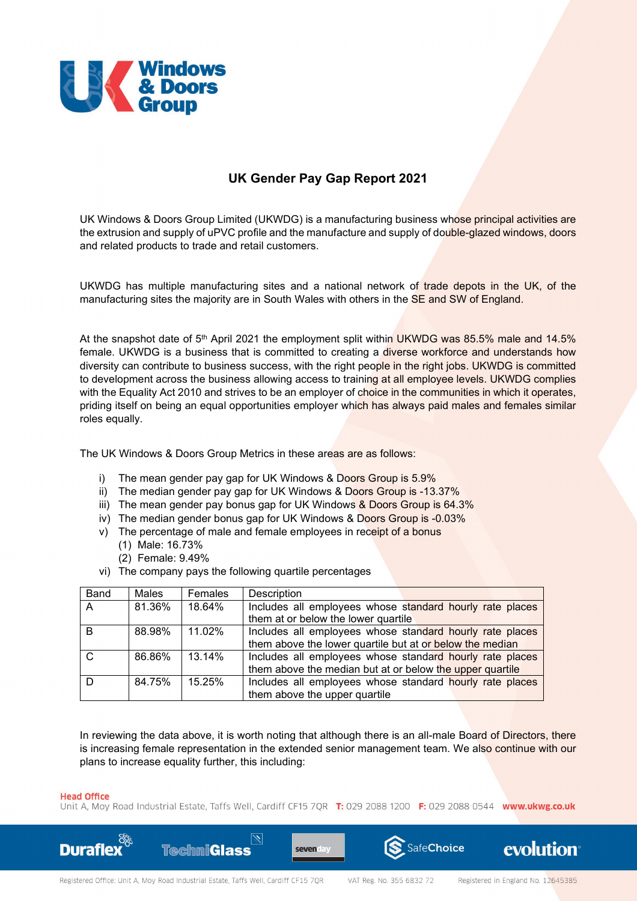

## **UK Gender Pay Gap Report 2021**

UK Windows & Doors Group Limited (UKWDG) is a manufacturing business whose principal activities are the extrusion and supply of uPVC profile and the manufacture and supply of double-glazed windows, doors and related products to trade and retail customers.

UKWDG has multiple manufacturing sites and a national network of trade depots in the UK, of the manufacturing sites the majority are in South Wales with others in the SE and SW of England.

At the snapshot date of 5th April 2021 the employment split within UKWDG was 85.5% male and 14.5% female. UKWDG is a business that is committed to creating a diverse workforce and understands how diversity can contribute to business success, with the right people in the right jobs. UKWDG is committed to development across the business allowing access to training at all employee levels. UKWDG complies with the Equality Act 2010 and strives to be an employer of choice in the communities in which it operates, priding itself on being an equal opportunities employer which has always paid males and females similar roles equally.

The UK Windows & Doors Group Metrics in these areas are as follows:

- i) The mean gender pay gap for UK Windows & Doors Group is 5.9%
- ii) The median gender pay gap for UK Windows & Doors Group is -13.37%
- iii) The mean gender pay bonus gap for UK Windows & Doors Group is 64.3%
- iv) The median gender bonus gap for UK Windows & Doors Group is -0.03%
- v) The percentage of male and female employees in receipt of a bonus
	- (1) Male: 16.73%
	- (2) Female: 9.49%
- vi) The company pays the following quartile percentages

| <b>Band</b> | Males  | Females | Description                                              |
|-------------|--------|---------|----------------------------------------------------------|
| A           | 81.36% | 18.64%  | Includes all employees whose standard hourly rate places |
|             |        |         | them at or below the lower quartile                      |
| R           | 88.98% | 11.02%  | Includes all employees whose standard hourly rate places |
|             |        |         | them above the lower quartile but at or below the median |
|             | 86.86% | 13.14%  | Includes all employees whose standard hourly rate places |
|             |        |         | them above the median but at or below the upper quartile |
|             | 84.75% | 15.25%  | Includes all employees whose standard hourly rate places |
|             |        |         | them above the upper quartile                            |

In reviewing the data above, it is worth noting that although there is an all-male Board of Directors, there is increasing female representation in the extended senior management team. We also continue with our plans to increase equality further, this including:

## **Head Office**

Unit A, Moy Road Industrial Estate, Taffs Well, Cardiff CF15 7QR T: 029 2088 1200 F: 029 2088 0544 www.ukwg.co.uk